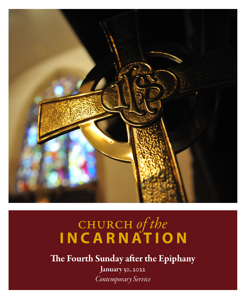

# church *of the* **INCARNATION**

The Fourth Sunday after the Epiphany

January 30, 2022 *Contemporary Service*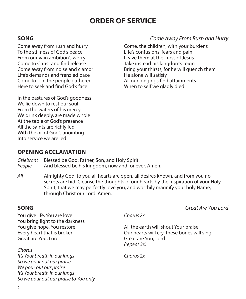### **ORDER OF SERVICE**

Come away from rush and hurry To the stillness of God's peace From our vain ambition's worry Come to Christ and find release Come away from noise and clamor Life's demands and frenzied pace Come to join the people gathered Here to seek and find God's face

In the pastures of God's goodness We lie down to rest our soul From the waters of his mercy We drink deeply, are made whole At the table of God's presence All the saints are richly fed With the oil of God's anointing Into service we are led

#### **SONG** *Come Away From Rush and Hurry*

Come, the children, with your burdens Life's confusions, fears and pain Leave them at the cross of Jesus Take instead his kingdom's reign Bring your thirsts, for he will quench them He alone will satisfy All our longings find attainments When to self we gladly died

#### **OPENING ACCLAMATION**

*Celebrant* Blessed be God: Father, Son, and Holy Spirit. *People* And blessed be his kingdom, now and for ever. Amen.

*All* Almighty God, to you all hearts are open, all desires known, and from you no secrets are hid: Cleanse the thoughts of our hearts by the inspiration of your Holy Spirit, that we may perfectly love you, and worthily magnify your holy Name; through Christ our Lord. Amen.

You give life, You are love You bring light to the darkness You give hope, You restore Every heart that is broken Great are You, Lord

*Chorus It's Your breath in our lungs So we pour out our praise We pour out our praise It's Your breath in our lungs So we pour out our praise to You only*

**SONG** *Great Are You Lord*

*Chorus 2x*

All the earth will shout Your praise Our hearts will cry, these bones will sing Great are You, Lord *(repeat 3x)*

*Chorus 2x*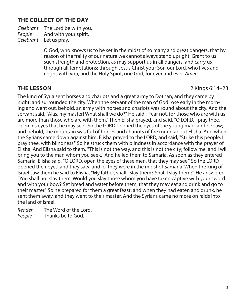#### **THE COLLECT OF THE DAY**

*Celebrant* The Lord be with you. *People* And with your spirit. *Celebrant* Let us pray.

> O God, who knows us to be set in the midst of so many and great dangers, that by reason of the frailty of our nature we cannot always stand upright; Grant to us such strength and protection, as may support us in all dangers, and carry us through all temptations; through Jesus Christ your Son our Lord, who lives and reigns with you, and the Holy Spirit, one God, for ever and ever. *Amen.*

**THE LESSON** 2 Kings 6:14–23

The king of Syria sent horses and chariots and a great army to Dothan; and they came by night, and surrounded the city. When the servant of the man of God rose early in the morning and went out, behold, an army with horses and chariots was round about the city. And the servant said, "Alas, my master! What shall we do?" He said, "Fear not, for those who are with us are more than those who are with them." Then Elisha prayed, and said, "O LORD, I pray thee, open his eyes that he may see." So the LORD opened the eyes of the young man, and he saw; and behold, the mountain was full of horses and chariots of fire round about Elisha. And when the Syrians came down against him, Elisha prayed to the LORD, and said, "Strike this people, I pray thee, with blindness." So he struck them with blindness in accordance with the prayer of Elisha. And Elisha said to them, "This is not the way, and this is not the city; follow me, and I will bring you to the man whom you seek." And he led them to Samaria. As soon as they entered Samaria, Elisha said, "O LORD, open the eyes of these men, that they may see." So the LORD opened their eyes, and they saw; and lo, they were in the midst of Samaria. When the king of Israel saw them he said to Elisha, "My father, shall I slay them? Shall I slay them?" He answered, "You shall not slay them. Would you slay those whom you have taken captive with your sword and with your bow? Set bread and water before them, that they may eat and drink and go to their master." So he prepared for them a great feast; and when they had eaten and drunk, he sent them away, and they went to their master. And the Syrians came no more on raids into the land of lsrael.

*Reader* The Word of the Lord. *People* Thanks be to God.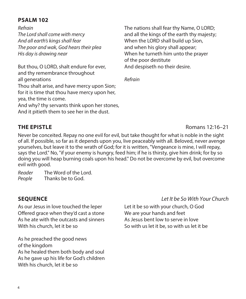#### **PSALM 102**

*Refrain The Lord shall come with mercy And all earth's kings shall fear The poor and wak, God hears their plea His day is drawing near*

But thou, O LORD, shalt endure for ever, and thy remembrance throughout all generations Thou shalt arise, and have mercy upon Sion; for it is time that thou have mercy upon her, yea, the time is come. And why? thy servants think upon her stones, And it pitieth them to see her in the dust.

The nations shall fear thy Name, O LORD; and all the kings of the earth thy majesty; When the LORD shall build up Sion, and when his glory shall appear; When he turneth him unto the prayer of the poor destitute And despiseth no their desire.

*Refrain*

Never be conceited. Repay no one evil for evil, but take thought for what is noble in the sight of all. If possible, so far as it depends upon you, live peaceably with all. Beloved, never avenge yourselves, but leave it to the wrath of God; for it is written, "Vengeance is mine, I will repay, says the Lord." No, "if your enemy is hungry, feed him; if he is thirsty, give him drink; for by so doing you will heap burning coals upon his head." Do not be overcome by evil, but overcome evil with good.

*Reader* The Word of the Lord. *People* Thanks be to God.

As our Jesus in love touched the leper Offered grace when they'd cast a stone As he ate with the outcasts and sinners With his church, let it be so

As he preached the good news of the kingdom As he healed them both body and soul As he gave up his life for God's children With his church, let it be so

#### **SEQUENCE** *Let It be So With Your Church*

Let it be so with your church, O God We are your hands and feet As Jesus bent low to serve in love So with us let it be, so with us let it be

**THE EPISTLE** Romans 12:16–21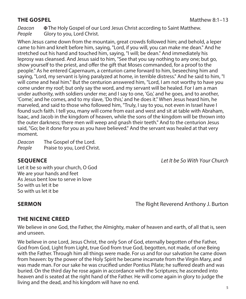*Deacon* The Holy Gospel of our Lord Jesus Christ according to Saint Matthew. *People* Glory to you, Lord Christ.

When Jesus came down from the mountain, great crowds followed him; and behold, a leper came to him and knelt before him, saying, "Lord, if you will, you can make me dean." And he stretched out his hand and touched him, saying, "I will; be dean." And immediately his leprosy was cleansed. And Jesus said to him, "See that you say nothing to any one; but go, show yourself to the priest, and offer the gift that Moses commanded, for a proof to the people." As he entered Capernaum, a centurion came forward to him, beseeching him and saying, "Lord, my servant is lying paralyzed at home, in terrible distress." And he said to him, "I will come and heal him." But the centurion answered him, "Lord, I am not worthy to have you come under my roof; but only say the word, and my servant will be healed. For I am a man under authority, with soldiers under me; and I say to one, 'Go,' and he goes, and to another, 'Come,' and he comes, and to my slave, 'Do this,' and he does it." When Jesus heard him, he marveled, and said to those who followed him, "Truly, I say to you, not even in Israel have I found such faith. I tell you, many will come from east and west and sit at table with Abraham, Isaac, and Jacob in the kingdom of heaven, while the sons of the kingdom will be thrown into the outer darkness; there men will weep and gnash their teeth." And to the centurion Jesus said, "Go; be it done for you as you have believed." And the servant was healed at that very moment.

*Deacon* The Gospel of the Lord. People Praise to you, Lord Christ.

**SEQUENCE** *Let It be So With Your Church*

Let it be so with your church, O God We are your hands and feet As Jesus bent low to serve in love So with us let it be So with us let it be

**SERMON The Right Reverend Anthony J. Burton** 

#### **THE NICENE CREED**

We believe in one God, the Father, the Almighty, maker of heaven and earth, of all that is, seen and unseen.

We believe in one Lord, Jesus Christ, the only Son of God, eternally begotten of the Father, God from God, Light from Light, true God from true God, begotten, not made, of one Being with the Father. Through him all things were made. For us and for our salvation he came down from heaven: by the power of the Holy Spirit he became incarnate from the Virgin Mary, and was made man. For our sake he was crucified under Pontius Pilate; he suffered death and was buried. On the third day he rose again in accordance with the Scriptures; he ascended into heaven and is seated at the right hand of the Father. He will come again in glory to judge the living and the dead, and his kingdom will have no end.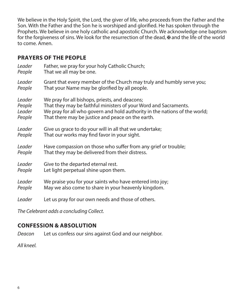We believe in the Holy Spirit, the Lord, the giver of life, who proceeds from the Father and the Son. With the Father and the Son he is worshiped and glorified. He has spoken through the Prophets. We believe in one holy catholic and apostolic Church. We acknowledge one baptism for the forgiveness of sins. We look for the resurrection of the dead,  $\bm{\Psi}$  and the life of the world to come. Amen.

#### **PRAYERS OF THE PEOPLE**

| Leader | Father, we pray for your holy Catholic Church;                             |
|--------|----------------------------------------------------------------------------|
| People | That we all may be one.                                                    |
| Leader | Grant that every member of the Church may truly and humbly serve you;      |
| People | That your Name may be glorified by all people.                             |
| Leader | We pray for all bishops, priests, and deacons;                             |
| People | That they may be faithful ministers of your Word and Sacraments.           |
| Leader | We pray for all who govern and hold authority in the nations of the world; |
| People | That there may be justice and peace on the earth.                          |
| Leader | Give us grace to do your will in all that we undertake;                    |
| People | That our works may find favor in your sight.                               |
| Leader | Have compassion on those who suffer from any grief or trouble;             |
| People | That they may be delivered from their distress.                            |
| Leader | Give to the departed eternal rest.                                         |
| People | Let light perpetual shine upon them.                                       |
| Leader | We praise you for your saints who have entered into joy;                   |
| People | May we also come to share in your heavenly kingdom.                        |
| Leader | Let us pray for our own needs and those of others.                         |

*The Celebrant adds a concluding Collect.*

### **CONFESSION & ABSOLUTION**

*Deacon* Let us confess our sins against God and our neighbor.

*All kneel.*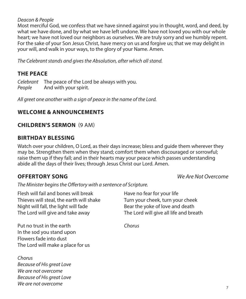#### *Deacon & People*

Most merciful God, we confess that we have sinned against you in thought, word, and deed, by what we have done, and by what we have left undone. We have not loved you with our whole heart; we have not loved our neighbors as ourselves. We are truly sorry and we humbly repent. For the sake of your Son Jesus Christ, have mercy on us and forgive us; that we may delight in your will, and walk in your ways, to the glory of your Name. Amen*.*

*The Celebrant stands and gives the Absolution, after which all stand.*

#### **THE PEACE**

*Celebrant* The peace of the Lord be always with you. *People* And with your spirit.

*All greet one another with a sign of peace in the name of the Lord.*

#### **WELCOME & ANNOUNCEMENTS**

#### **CHILDREN'S SERMON** (9 AM)

#### **BIRTHDAY BLESSING**

Watch over your children, O Lord, as their days increase; bless and guide them wherever they may be. Strengthen them when they stand; comfort them when discouraged or sorrowful; raise them up if they fall; and in their hearts may your peace which passes understanding abide all the days of their lives; through Jesus Christ our Lord. Amen.

**OFFERTORY SONG** *We Are Not Overcome*

*The Minister begins the Offertory with a sentence of Scripture.*

Flesh will fail and bones will break Thieves will steal, the earth will shake Night will fall, the light will fade The Lord will give and take away

Have no fear for your life Turn your cheek, turn your cheek Bear the yoke of love and death The Lord will give all life and breath

Put no trust in the earth In the sod you stand upon Flowers fade into dust The Lord will make a place for us

*Chorus Because of His great Love We are not overcome Because of His great Love We are not overcome*

*Chorus*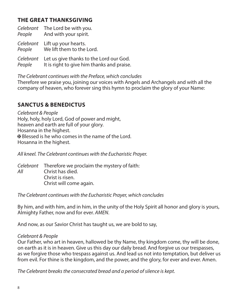#### **THE GREAT THANKSGIVING**

| People              | Celebrant The Lord be with you.<br>And with your spirit.                              |
|---------------------|---------------------------------------------------------------------------------------|
| People              | Celebrant Lift up your hearts.<br>We lift them to the Lord.                           |
| Celebrant<br>People | Let us give thanks to the Lord our God.<br>It is right to give him thanks and praise. |

#### *The Celebrant continues with the Preface, which concludes*

Therefore we praise you, joining our voices with Angels and Archangels and with all the company of heaven, who forever sing this hymn to proclaim the glory of your Name:

#### **SANCTUS & BENEDICTUS**

*Celebrant & People*  Holy, holy, holy Lord, God of power and might, heaven and earth are full of your glory. Hosanna in the highest. Blessed is he who comes in the name of the Lord. Hosanna in the highest.

*All kneel. The Celebrant continues with the Eucharistic Prayer.*

*Celebrant* Therefore we proclaim the mystery of faith: *All* Christ has died. Christ is risen. Christ will come again.

*The Celebrant continues with the Eucharistic Prayer, which concludes*

By him, and with him, and in him, in the unity of the Holy Spirit all honor and glory is yours, Almighty Father, now and for ever. *AMEN*.

And now, as our Savior Christ has taught us, we are bold to say,

#### *Celebrant & People*

Our Father, who art in heaven, hallowed be thy Name, thy kingdom come, thy will be done, on earth as it is in heaven. Give us this day our daily bread. And forgive us our trespasses, as we forgive those who trespass against us. And lead us not into temptation, but deliver us from evil. For thine is the kingdom, and the power, and the glory, for ever and ever. Amen.

*The Celebrant breaks the consecrated bread and a period of silence is kept.*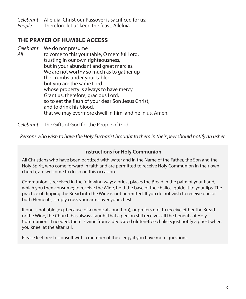*Celebrant* Alleluia. Christ our Passover is sacrificed for us; *People* Therefore let us keep the feast. Alleluia.

#### **THE PRAYER OF HUMBLE ACCESS**

*Celebrant* We do not presume

*All* to come to this your table, O merciful Lord, trusting in our own righteousness, but in your abundant and great mercies. We are not worthy so much as to gather up the crumbs under your table; but you are the same Lord whose property is always to have mercy. Grant us, therefore, gracious Lord, so to eat the flesh of your dear Son Jesus Christ, and to drink his blood, that we may evermore dwell in him, and he in us. Amen.

*Celebrant* The Gifts of God for the People of God.

*Persons who wish to have the Holy Eucharist brought to them in their pew should notify an usher.*

#### **Instructions for Holy Communion**

All Christians who have been baptized with water and in the Name of the Father, the Son and the Holy Spirit, who come forward in faith and are permitted to receive Holy Communion in their own church, are welcome to do so on this occasion.

Communion is received in the following way: a priest places the Bread in the palm of your hand, which you then consume; to receive the Wine, hold the base of the chalice, guide it to your lips. The practice of dipping the Bread into the Wine is not permitted. If you do not wish to receive one or both Elements, simply cross your arms over your chest.

If one is not able (e.g. because of a medical condition), or prefers not, to receive either the Bread or the Wine, the Church has always taught that a person still receives all the benefits of Holy Communion. If needed, there is wine from a dedicated gluten-free chalice; just notify a priest when you kneel at the altar rail.

Please feel free to consult with a member of the clergy if you have more questions.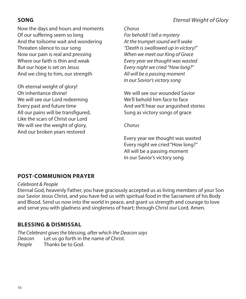### **SONG** *Eternal Weight of Glory*

Now the days and hours and moments Of our suffering seem so long And the toilsome wait and wondering Threaten silence to our song Now our pain is real and pressing Where our faith is thin and weak But our hope is set on Jesus And we cling to him, our strength

Oh eternal weight of glory! Oh inheritance divine! We will see our Lord redeeming Every past and future time All our pains will be transfigured, Like the scars of Christ our Lord We will see the weight of glory, And our broken years restored

#### *Chorus*

*For behold! I tell a mystery At the trumpet sound we'll wake "Death is swallowed up in victory!" When we meet our King of Grace Every year we thought was wasted Every night we cried "How long?" All will be a passing moment In our Savior's victory song*

We will see our wounded Savior We'll behold him face to face And we'll hear our anguished stories Sung as victory songs of grace

*Chorus*

Every year we thought was wasted Every night we cried "How long?" All will be a passing moment In our Savior's victory song

### **POST-COMMUNION PRAYER**

#### *Celebrant & People*

Eternal God, heavenly Father, you have graciously accepted us as living members of your Son our Savior Jesus Christ, and you have fed us with spiritual food in the Sacrament of his Body and Blood. Send us now into the world in peace, and grant us strength and courage to love and serve you with gladness and singleness of heart; through Christ our Lord. Amen.

#### **BLESSING & DISMISSAL**

*The Celebrant gives the blessing, after which the Deacon says Deacon* Let us go forth in the name of Christ. *People* Thanks be to God.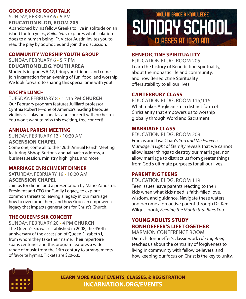#### **GOOD BOOKS GOOD TALK**

SUNDAY, FEBRUARY 6 **•** 5 PM **EDUCATION BLDG, ROOM 205**

Abandoned by his fellow Greeks to live in solitude on an island for ten years, *Philoctetes* explores what isolation does to a human being. Fr. Victor Austin invites you to read the play by Sophocles and join the discussion.

#### **COMMUNITY WORSHIP YOUTH GROUP**

SUNDAY, FEBRUARY 6 **•** 5-7 PM **EDUCATION BLDG, YOUTH AREA** Students in grades 6-12, bring your friends and come join Incarnation for an evening of fun, food, and worship. We look forward to sharing this special time with you!

#### **BACH'S LUNCH**

TUESDAY, FEBRUARY 8 **•** 12:15 PM **CHURCH** Our February program features Juilliard professor Cynthia Roberts—one of America's leading baroque violinists—playing sonatas and concerti with orchestra. You won't want to miss this exciting, free concert!

#### **ANNUAL PARISH MEETING**

SUNDAY, FEBRUARY 13 **•** 10:20 AM **ASCENSION CHAPEL**

Come one, come all to the 126th Annual Parish Meeting featuring Bishop Burton's annual parish address, a business session, ministry highlights, and more.

#### **MARRIAGE ENRICHMENT DINNER**

SATURDAY, FEBRUARY 19 **•** 10:20 AM **ASCENSION CHAPEL**

Join us for dinner and a presentation by Mario Zandstra, President and CEO for Family Legacy, to explore common threats to leaving a legacy in our marriage, how to overcome them, and how God can empower a legacy that impacts generations for Christ's Church.

#### **THE QUEEN'S SIX CONCERT**

SUNDAY, FEBRUARY 20 **•** 4 PM **CHURCH** The Queen's Six was established in 2008, the 450th anniversary of the accession of Queen Elizabeth I, from whom they take their name. Their repertoire spans centuries and this program features a wide range of music from the 16th century to arrangements of favorite hymns. Tickets are \$20-\$35.

### GROW IN GRACE & HNOWLEDGE SUNDAY SCHOOL **CLASSES AT 10:20 AM**

#### **BENEDICTINE SPIRITUALITY**

EDUCATION BLDG, ROOM 205 Learn the history of Benedictine Spirituality, about the monastic life and community, and how Benedictine Spirituality offers stability to all our lives.

#### **CANTERBURY CLASS**

EDUCATION BLDG, ROOM 115/116 What makes Anglicanism a distinct form of Christianity that empowers us to worship globally through Word and Sacrament.

#### **MARRIAGE CLASS**

EDUCATION BLDG, ROOM 209 Francis and Lisa Chan's *You and Me Forever: Marriage in Light of Eternity* reveals that we cannot allow lesser things to destroy our marriages, nor allow marriage to distract us from greater things, from God's ultimate purposes for all our lives.

#### **PARENTING TEENS**

EDUCATION BLDG, ROOM 119 Teen issues leave parents reacting to their kids when what kids need is faith-filled love, wisdom, and guidance. Navigate these waters and become a proactive parent through Dr. Ken Wilgus' book, *Feeding the Mouth that Bites You.*

#### **YOUNG ADULTS STUDY BONHOEFFER'S LIFE TOGETHER**

MARMION CONFERENCE ROOM Dietrich Bonhoeffer's classic work *Life Together*, teaches us about the centrality of forgiveness to living in community with fellow believers, and how keeping our focus on Christ is the key to unity.



**LEARN MORE ABOUT EVENTS, CLASSES, & REGISTRATION INCARNATION.ORG/EVENTS**